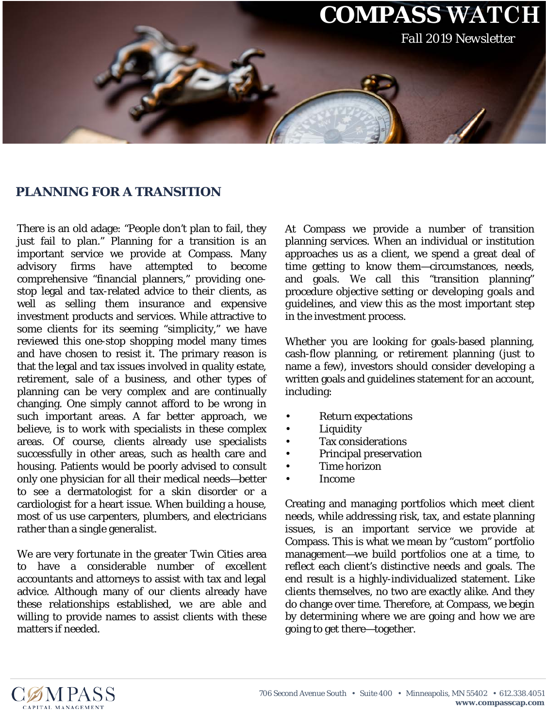

## **PLANNING FOR A TRANSITION**

There is an old adage: "People don't plan to fail, they just fail to plan." Planning for a transition is an important service we provide at Compass. Many advisory firms have attempted to become comprehensive "financial planners," providing onestop legal and tax-related advice to their clients, as well as selling them insurance and expensive investment products and services. While attractive to some clients for its seeming "simplicity," we have reviewed this one-stop shopping model many times and have chosen to resist it. The primary reason is that the legal and tax issues involved in quality estate, retirement, sale of a business, and other types of planning can be very complex and are continually changing. One simply cannot afford to be wrong in such important areas. A far better approach, we believe, is to work with specialists in these complex areas. Of course, clients already use specialists successfully in other areas, such as health care and housing. Patients would be poorly advised to consult only one physician for all their medical needs—better to see a dermatologist for a skin disorder or a cardiologist for a heart issue. When building a house, most of us use carpenters, plumbers, and electricians rather than a single generalist.

We are very fortunate in the greater Twin Cities area to have a considerable number of excellent accountants and attorneys to assist with tax and legal advice. Although many of our clients already have these relationships established, we are able and willing to provide names to assist clients with these matters if needed.

At Compass we provide a number of transition planning services. When an individual or institution approaches us as a client, we spend a great deal of time getting to know them—circumstances, needs, and goals. We call this "transition planning" procedure *objective setting or developing goals and guidelines*, and view this as the most important step in the investment process.

Whether you are looking for goals-based planning, cash-flow planning, or retirement planning (just to name a few), investors should consider developing a written goals and guidelines statement for an account, including:

- Return expectations
- **Liquidity**
- Tax considerations
- Principal preservation
- Time horizon
- Income

Creating and managing portfolios which meet client needs, while addressing risk, tax, and estate planning issues, is an important service we provide at Compass. This is what we mean by "custom" portfolio management—we build portfolios one at a time, to reflect each client's distinctive needs and goals. The end result is a highly-individualized statement. Like clients themselves, no two are exactly alike. And they do change over time. Therefore, at Compass, we begin by determining where we are going and how we are going to get there—together.